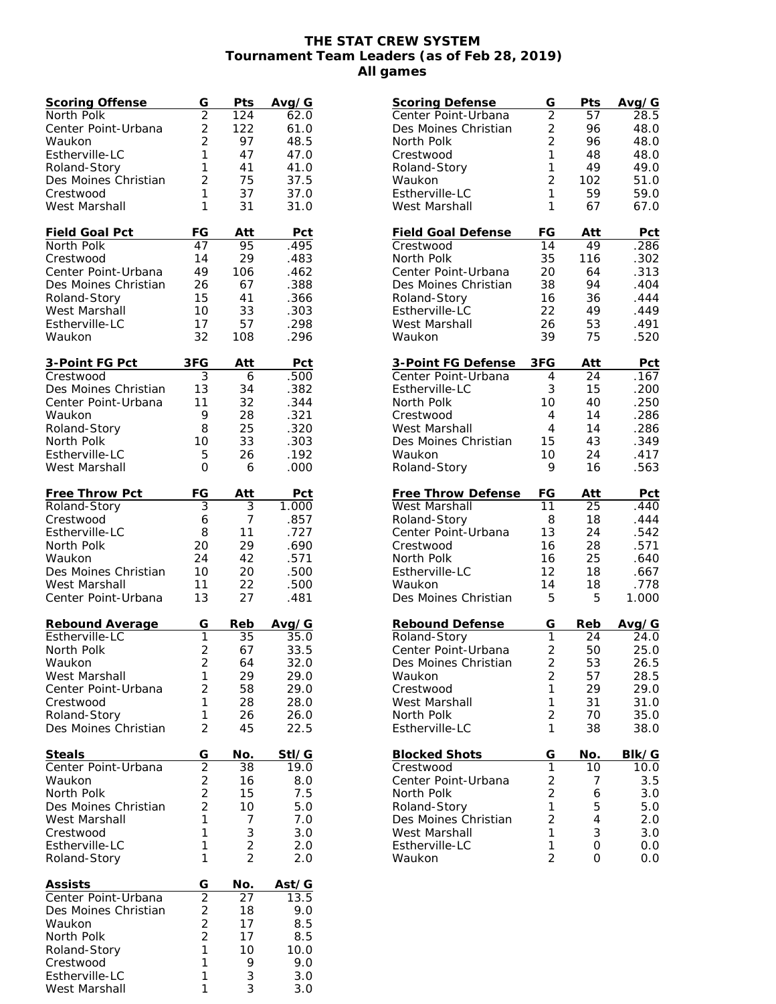## **THE STAT CREW SYSTEM Tournament Team Leaders (as of Feb 28, 2019) All games**

| Scoring Offense                   | G                       | Pts             | Avg/G         |
|-----------------------------------|-------------------------|-----------------|---------------|
| North Polk                        | $\overline{2}$          | 124             | 62.0          |
| Center Point-Urbana               | $\overline{2}$          | 122             | 61.0          |
| Waukon                            | $\overline{2}$          | 97              | 48.5          |
| Estherville-LC                    | 1                       | 47              | 47.0          |
| Roland-Story                      | 1                       | 41              | 41.0          |
| Des Moines Christian              | $\overline{2}$          | 75              | 37.5          |
| Crestwood                         | 1                       | 37              | 37.0          |
| West Marshall                     | 1                       | 31              | 31.0          |
|                                   |                         |                 |               |
| Field Goal Pct                    | FG                      | Att             | Pct           |
| North Polk                        | 47                      | 95              | .495          |
| Crestwood                         | 14                      | 29              | .483          |
| Center Point-Urbana               | 49                      | 106             | .462          |
| Des Moines Christian              | 26                      | 67              | .388          |
| Roland-Story                      | 15                      | 41              | .366          |
| West Marshall                     | 10                      | 33              | .303          |
| Estherville-LC                    | 17                      | 57              | .298          |
| Waukon                            | 32                      | 108             | .296          |
|                                   |                         |                 |               |
| 3-Point FG Pct                    | 3FG                     | Att             | Pct           |
| Crestwood                         | 3                       | 6               | .500          |
| Des Moines Christian              | 13                      | 34              | .382          |
| Center Point-Urbana               | 11                      | 32              | .344          |
| Waukon                            | 9                       | 28              | .321          |
| Roland-Story                      | 8                       | 25              | .320          |
| North Polk                        | 10                      | 33              | .303          |
| Estherville-LC                    | 5                       | 26              | .192          |
| West Marshall                     | 0                       | 6               | .000          |
|                                   |                         |                 |               |
| Free Throw Pct                    | FG                      | Att             | <b>Pct</b>    |
| Roland-Story                      | 3                       | 3               | 1.000         |
| Crestwood                         | 6                       | 7               | .857          |
| Estherville-LC                    | 8                       | 11              | .727          |
| North Polk                        | 20                      | 29              | .690          |
| Waukon                            | 24                      | 42              | .571          |
| Des Moines Christian              | 10                      | 20              | .500          |
| West Marshall                     | 11                      | 22              | .500          |
| Center Point-Urbana               | 13                      | 27              | .481          |
|                                   |                         | Reb             |               |
| Rebound Average<br>Estherville-LC | G<br>1                  | 35              | Avg/G<br>35.0 |
| North Polk                        | 2                       | 67              | 33.5          |
| Waukon                            | $\overline{c}$          | 64              | 32.0          |
| West Marshall                     | 1                       | 29              | 29.0          |
| Center Point-Urbana               | $\overline{2}$          | 58              | 29.0          |
| Crestwood                         | 1                       | 28              | 28.0          |
| Roland-Story                      | 1                       | 26              | 26.0          |
| Des Moines Christian              | $\overline{2}$          | 45              | 22.5          |
|                                   |                         |                 |               |
| Steals                            | G                       | No.             | StI/G         |
| Center Point-Urbana               | $\overline{2}$          | $\overline{38}$ | 19.0          |
| Waukon                            |                         | 16              | 8.0           |
| North Polk                        | $\frac{2}{2}$           | 15              | 7.5           |
| Des Moines Christian              | $\overline{2}$          | 10              | 5.0           |
| West Marshall                     | 1                       | 7               | 7.0           |
| Crestwood                         | 1                       | 3               | 3.0           |
| Estherville-LC                    | 1                       | $\overline{2}$  | 2.0           |
| Roland-Story                      | 1                       | $\overline{2}$  | 2.0           |
|                                   |                         |                 |               |
| <b>Assists</b>                    | G                       | No.             | Ast/G         |
| Center Point-Urbana               | $\overline{2}$          | 27              | 13.5          |
| Des Moines Christian              | $\overline{\mathbf{c}}$ | 18              | 9.0           |
| Waukon                            | $\frac{2}{2}$           | 17              | 8.5           |
| North Polk                        |                         | 17              | 8.5           |
| Roland-Story                      | $\mathbf{1}$            | 10              | 10.0          |
| Crestwood                         | 1                       | 9               | 9.0           |
| Estherville-LC                    | 1                       | 3               | 3.0           |
| West Marshall                     | 1                       | 3               | 3.0           |

| <b>Scoring Defense</b>    | G                   | Pts    | Avg/G        |
|---------------------------|---------------------|--------|--------------|
| Center Point-Urbana       | $\overline{2}$      | 57     | $28.\bar{5}$ |
| Des Moines Christian      | $\overline{c}$      | 96     | 48.0         |
| North Polk                | $\overline{2}$      | 96     | 48.0         |
| Crestwood                 | 1                   | 48     | 48.0         |
| Roland-Story              | 1                   | 49     | 49.0         |
| Waukon                    | $\overline{2}$      | 102    | 51.0         |
| Estherville-LC            | 1                   | 59     | 59.0         |
| West Marshall             | 1                   | 67     | 67.0         |
| <b>Field Goal Defense</b> | FG                  | Att    | Pct          |
| Crestwood                 | 14                  | 49     | .286         |
| North Polk                | 35                  | 116    | .302         |
| Center Point-Urbana       | 20                  | 64     | .313         |
| Des Moines Christian      | 38                  | 94     | .404         |
| Roland-Story              | 16                  | 36     | .444         |
| Estherville-LC            | 22                  | 49     | .449         |
| West Marshall             | 26                  | 53     | .491         |
| Waukon                    | 39                  | 75     | .520         |
| 3-Point FG Defense        | 3FG                 | Att    | <b>Pct</b>   |
| Center Point-Urbana       | 4                   | 24     | .167         |
| Estherville-LC            | 3                   | 15     | .200         |
| North Polk                | 10                  | 40     | .250         |
| Crestwood                 | 4                   | 14     | .286         |
| West Marshall             | 4                   | 14     | .286         |
| Des Moines Christian      | 15                  | 43     | .349         |
| Waukon                    | 10                  | 24     | .417         |
| Roland-Story              | 9                   | 16     | .563         |
|                           |                     |        |              |
| Free Throw Defense        | FG                  | Att    | Pct          |
| West Marshall             | 11                  | 25     | .440         |
| Roland-Story              | 8                   | 18     | .444         |
| Center Point-Urbana       | 13                  | 24     | .542         |
| Crestwood                 | 16                  | 28     | .571         |
| North Polk                | 16                  | 25     | .640         |
| Estherville-LC            | 12                  | 18     | .667         |
| Waukon                    | 14                  | 18     | .778         |
| Des Moines Christian      | 5                   | 5      | 1.000        |
| Rebound Defense           | G                   | Reb    | Avg/G        |
| Roland-Story              | 1                   | 24     | 24.0         |
| Center Point-Urbana       | $\overline{2}$      | 50     | 25.0         |
| Des Moines Christian      | $\overline{c}$      | 53     | 26.5         |
| Waukon                    | $\overline{c}$      | 57     | 28.5         |
| Crestwood                 | $\overline{1}$      | 29     | 29.0         |
| West Marshall             | 1                   | 31     | 31.0         |
| North Polk                | $\overline{c}$      | 70     | 35.0         |
| Estherville-LC            | $\mathbf{1}$        | 38     | 38.0         |
| <b>Blocked Shots</b>      | G                   | No.    | BIk/G        |
| Crestwood                 | $\overline{1}$      | 10     | 10.0         |
| Center Point-Urbana       | $\overline{c}$      | 7      | 3.5          |
| North Polk                | $\overline{2}$      | 6      | 3.0          |
| Roland-Story              | 1                   | 5      | 5.0          |
| Des Moines Christian      | $\overline{2}$      | 4      | 2.0          |
| West Marshall             | 1                   | 3      | 3.0          |
| Estherville-LC<br>Waukon  | 1<br>$\overline{2}$ | 0<br>0 | 0.0<br>0.0   |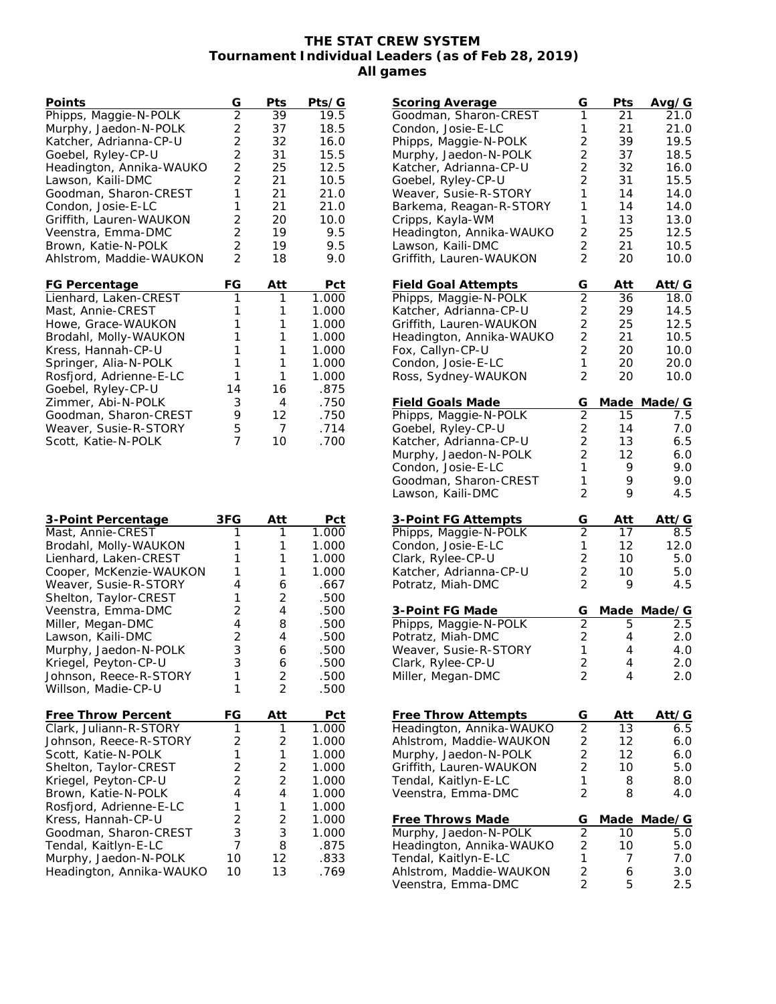## **THE STAT CREW SYSTEM Tournament Individual Leaders (as of Feb 28, 2019) All games**

| Points                   | G                                            | Pts          | Pts/G |
|--------------------------|----------------------------------------------|--------------|-------|
| Phipps, Maggie-N-POLK    | $\overline{2}$                               | 39           | 19.5  |
| Murphy, Jaedon-N-POLK    | $2222$<br>$221$                              | 37           | 18.5  |
| Katcher, Adrianna-CP-U   |                                              | 32           | 16.0  |
| Goebel, Ryley-CP-U       |                                              | 31           | 15.5  |
| Headington, Annika-WAUKO |                                              | 25           | 12.5  |
| Lawson, Kaili-DMC        |                                              | 21           | 10.5  |
| Goodman, Sharon-CREST    |                                              | 21           | 21.0  |
| Condon, Josie-E-LC       | $\mathbf{1}$                                 | 21           | 21.0  |
| Griffith, Lauren-WAUKON  | $\begin{array}{c}\n2 \\ 2 \\ 2\n\end{array}$ | 20           | 10.0  |
| Veenstra, Emma-DMC       |                                              | 19           | 9.5   |
| Brown, Katie-N-POLK      |                                              | 19           | 9.5   |
| Ahlstrom, Maddie-WAUKON  |                                              | 18           | 9.0   |
| FG Percentage            | FG                                           | Att          | Pct   |
| Lienhard, Laken-CREST    | $\overline{1}$                               | 1            | 1.000 |
| Mast, Annie-CREST        | 1                                            | 1            | 1.000 |
| Howe, Grace-WAUKON       | 1                                            | 1            | 1.000 |
| Brodahl, Molly-WAUKON    | 1                                            | 1            | 1.000 |
| Kress, Hannah-CP-U       | 1                                            | 1            | 1.000 |
| Springer, Alia-N-POLK    | 1                                            | 1            | 1.000 |
| Rosfjord, Adrienne-E-LC  | 1                                            | $\mathbf{1}$ | 1.000 |
| Goebel, Ryley-CP-U       | 14                                           | 16           | .875  |
| Zimmer, Abi-N-POLK       | 3                                            | 4            | .750  |
| Goodman, Sharon-CREST    | 9                                            | 12           | .750  |
| Weaver, Susie-R-STORY    | 5                                            | 7            | .714  |
| Scott, Katie-N-POLK      | $\overline{7}$                               | 10           | .700  |
| 3-Point Percentage       | 3FG                                          | Att          | Pct   |
| Mast, Annie-CREST        | 1                                            | 1            | 1.000 |
| Brodahl, Molly-WAUKON    | 1                                            | 1            | 1.000 |
| Lienhard, Laken-CREST    | 1                                            | 1            | 1.000 |
| Cooper McVenzie MIALIVON |                                              | 1            | ∩∩ח ו |

| 1  | 1                                                         | 1.000                                                 |
|----|-----------------------------------------------------------|-------------------------------------------------------|
| 1  | 1                                                         | 1.000                                                 |
| 4  | 6                                                         | .667                                                  |
| 1  | 2                                                         | .500                                                  |
| 2  | 4                                                         | .500                                                  |
| 4  | 8                                                         | .500                                                  |
| 2  | 4                                                         | .500                                                  |
|    | 6                                                         | .500                                                  |
|    | 6                                                         | .500                                                  |
|    | 2                                                         | .500                                                  |
| 1  |                                                           | .500                                                  |
| FG | Att                                                       | Pct                                                   |
| 1  | 1                                                         | 1.000                                                 |
| 2  | 2                                                         | 1.000                                                 |
|    |                                                           | 1.000                                                 |
| 2  | 2                                                         | 1.000                                                 |
|    |                                                           | 1.000                                                 |
| 4  | 4                                                         | 1.000                                                 |
| 1  | 1                                                         | 1.000                                                 |
| 2  | 2                                                         | 1.000                                                 |
|    |                                                           | 1.000                                                 |
|    | 8                                                         | .875                                                  |
| 10 | 12 <sup>12</sup>                                          | .833                                                  |
| 10 | 13                                                        | .769                                                  |
|    | 3<br>3<br>1<br>1<br>$\overline{2}$<br>3<br>$\overline{7}$ | $\overline{2}$<br>$\mathbf{1}$<br>$\overline{2}$<br>3 |

| <u>Scoring Average</u>     | G                   | Pts              | Avg/G       |
|----------------------------|---------------------|------------------|-------------|
| Goodman, Sharon-CREST      | 1                   | $\overline{2}$ 1 | 21.0        |
| Condon, Josie-E-LC         | 1                   | 21               | 21.0        |
|                            |                     |                  |             |
| Phipps, Maggie-N-POLK      | $\overline{c}$      | 39               | 19.5        |
| Murphy, Jaedon-N-POLK      | $\overline{2}$      | 37               | 18.5        |
| Katcher, Adrianna-CP-U     | $\overline{2}$      | 32               | 16.0        |
| Goebel, Ryley-CP-U         | $\overline{2}$      | 31               | 15.5        |
| Weaver, Susie-R-STORY      | 1                   | 14               | 14.0        |
| Barkema, Reagan-R-STORY    | 1                   | 14               | 14.0        |
| Cripps, Kayla-WM           | 1                   | 13               | 13.0        |
| Headington, Annika-WAUKO   | $\overline{2}$      | 25               | 12.5        |
| Lawson, Kaili-DMC          | $\overline{2}$      | 21               | 10.5        |
| Griffith, Lauren-WAUKON    | $\overline{2}$      | 20               | 10.0        |
|                            |                     |                  |             |
|                            |                     |                  |             |
| <b>Field Goal Attempts</b> | G<br>$\overline{2}$ | Att              | Att/G       |
| Phipps, Maggie-N-POLK      |                     | 36               | 18.0        |
| Katcher, Adrianna-CP-U     | $\overline{c}$      | 29               | 14.5        |
| Griffith, Lauren-WAUKON    | $\overline{c}$      | 25               | 12.5        |
| Headington, Annika-WAUKO   | $\overline{2}$      | 21               | 10.5        |
| Fox, Callyn-CP-U           | $\overline{2}$      | 20               | 10.0        |
| Condon, Josie-E-LC         | 1                   | 20               | 20.0        |
| Ross, Sydney-WAUKON        | $\overline{2}$      | 20               | 10.0        |
|                            |                     |                  |             |
| <b>Field Goals Made</b>    | G                   | Made             | Made/G      |
| Phipps, Maggie-N-POLK      | $\overline{2}$      |                  | 7.5         |
|                            |                     | 15               |             |
| Goebel, Ryley-CP-U         | $\overline{c}$      | 14               | 7.0         |
| Katcher, Adrianna-CP-U     | $\overline{2}$      | 13               | 6.5         |
| Murphy, Jaedon-N-POLK      | $\overline{2}$      | 12               | 6.0         |
| Condon, Josie-E-LC         | 1                   | 9                | 9.0         |
| Goodman, Sharon-CREST      | 1                   | 9                | 9.0         |
| Lawson, Kaili-DMC          | $\overline{2}$      | 9                | 4.5         |
|                            |                     |                  |             |
| 3-Point FG Attempts        | G                   | Att              | Att/G       |
| Phipps, Maggie-N-POLK      | $\overline{2}$      | 17               | 8.5         |
| Condon, Josie-E-LC         | 1                   | 12               | 12.0        |
| Clark, Rylee-CP-U          | $\overline{2}$      | 10               | 5.0         |
|                            | $\overline{2}$      | 10               | 5.0         |
| Katcher, Adrianna-CP-U     |                     |                  |             |
| Potratz, Miah-DMC          | $\overline{2}$      | 9                | 4.5         |
|                            |                     |                  |             |
| 3-Point FG Made            | G                   |                  | Made Made/G |
| Phipps, Maggie-N-POLK      | $\overline{2}$      | 5                | 2.5         |
| Potratz, Miah-DMC          | $\overline{2}$      | 4                | 2.0         |
| Weaver, Susie-R-STORY      | 1                   | 4                | 4.0         |
| Clark, Rylee-CP-U          | 2                   | 4                | 2.0         |
| Miller, Megan-DMC          | $\overline{2}$      | 4                | 2.0         |
|                            |                     |                  |             |
|                            |                     |                  |             |
| Free Throw Attempts        |                     |                  |             |
|                            | G                   | Att              | Att⁄G       |
| Headington, Annika-WAUKO   | $\overline{c}$      | 13               | 6.5         |
| Ahlstrom, Maddie-WAUKON    | 2                   | 12               | 6.0         |
| Murphy, Jaedon-N-POLK      | $\overline{2}$      | 12               | 6.0         |
| Griffith, Lauren-WAUKON    | $\overline{2}$      | 10               | 5.0         |
| Tendal, Kaitlyn-E-LC       | 1                   | 8                | 8.0         |
| Veenstra, Emma-DMC         | $\overline{2}$      | 8                | 4.0         |
|                            |                     |                  |             |
| <b>Free Throws Made</b>    | G                   | Made             | Made/G      |
| Murphy, Jaedon-N-POLK      | $\overline{2}$      | 10               | 5.0         |
|                            | $\overline{c}$      | 10               | 5.0         |
| Headington, Annika-WAUKO   |                     |                  |             |
| Tendal, Kaitlyn-E-LC       | 1                   | 7                | 7.0         |
| Ahlstrom, Maddie-WAUKON    | $\frac{2}{2}$       | 6                | 3.0         |
| Veenstra, Emma-DMC         |                     | 5                | 2.5         |